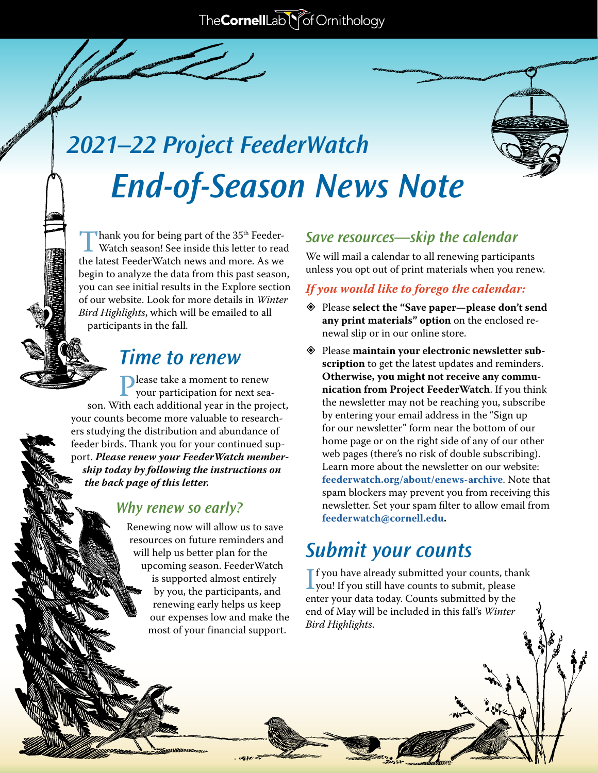# *2021–22 Project FeederWatch End-of-Season News Note*

Thank you for being part of the 35<sup>th</sup> Feeder-<br>Watch season! See inside this letter to read<br>the latest FeederWatch news and more. As we the latest FeederWatch news and more. As we begin to analyze the data from this past season, you can see initial results in the Explore section of our website. Look for more details in *Winter Bird Highlights*, which will be emailed to all participants in the fall.

## *Time to renew*

**P** lease take a moment to renew<br>your participation for next sea-<br>ith each additional year in the proje son. With each additional year in the project, your counts become more valuable to researchers studying the distribution and abundance of feeder birds. Thank you for your continued support. *Please renew your FeederWatch membership today by following the instructions on the back page of this letter.* 

#### *Why renew so early?*

Renewing now will allow us to save resources on future reminders and will help us better plan for the upcoming season. FeederWatch is supported almost entirely by you, the participants, and renewing early helps us keep our expenses low and make the most of your financial support.

#### *Save resources—skip the calendar*

We will mail a calendar to all renewing participants unless you opt out of print materials when you renew.

#### *If you would like to forego the calendar:*

- � Please **select the "Save paper—please don't send any print materials" option** on the enclosed renewal slip or in our online store.
- � Please **maintain your electronic newsletter subscription** to get the latest updates and reminders. **Otherwise, you might not receive any communication from Project FeederWatch**. If you think the newsletter may not be reaching you, subscribe by entering your email address in the "Sign up for our newsletter" form near the bottom of our home page or on the right side of any of our other web pages (there's no risk of double subscribing). Learn more about the newsletter on our website: **[feederwatch.org/about/enews-archive](https://feederwatch.org/about/enews-archive)**. Note that spam blockers may prevent you from receiving this newsletter. Set your spam filter to allow email from **[feederwatch@cornell.edu](mailto:feederwatch%40cornell.edu?subject=).**

## *Submit your counts*

If you have already submitted your counts, that<br>you! If you still have counts to submit, please<br>enter your data today. Counts submitted by the  $\mathbf T$  f you have already submitted your counts, thank enter your data today. Counts submitted by the end of May will be included in this fall's *Winter Bird Highlights*.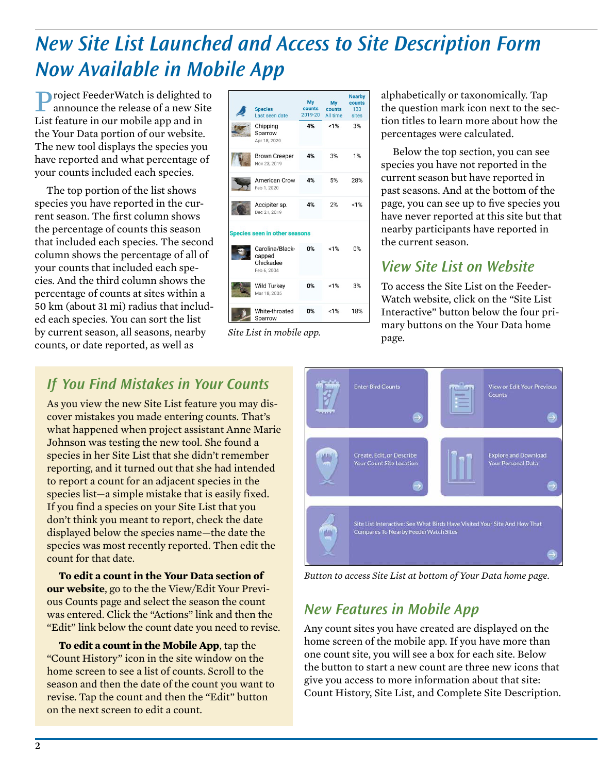# *New Site List Launched and Access to Site Description Form Now Available in Mobile App*

Project FeederWatch is delighted to announce the release of a new Site List feature in our mobile app and in the [Your Data](https://feederwatch.org/pfw/data) portion of our website. The new tool displays the species you have reported and what percentage of your counts included each species.

The top portion of the list shows species you have reported in the current season. The first column shows the percentage of counts this season that included each species. The second column shows the percentage of all of your counts that included each species. And the third column shows the percentage of counts at sites within a 50 km (about 31 mi) radius that included each species. You can sort the list by current season, all seasons, nearby counts, or date reported, as well as

|                               | <b>Species</b><br>Last seen date                      | Mv<br>counts<br>2019-20 | My<br>counts<br>All time | <b>Nearby</b><br>counts<br>133<br>sites |
|-------------------------------|-------------------------------------------------------|-------------------------|--------------------------|-----------------------------------------|
|                               | Chipping<br>Sparrow<br>Apr 18, 2020                   | 4%                      | $< 1\%$                  | 3%                                      |
|                               | <b>Brown Creeper</b><br>Nov 23, 2019                  | 4%                      | 3%                       | 1%                                      |
|                               | American Crow<br>Feb 1, 2020                          | 4%                      | 5%                       | 28%                                     |
|                               | Accipiter sp.<br>Dec 21, 2019                         | 4%                      | 2%                       | $< 1\%$                                 |
| Species seen in other seasons |                                                       |                         |                          |                                         |
|                               | Carolina/Black-<br>capped<br>Chickadee<br>Feb 6, 2004 | 0%                      | $< 1\%$                  | 0%                                      |
|                               | Wild Turkey<br>Mar 18, 2005                           | 0%                      | $< 1\%$                  | 3%                                      |
|                               | White-throated<br>Sparrow                             | 0%                      | <1%                      | 18%                                     |

*Site List in mobile app.*

alphabetically or taxonomically. Tap the question mark icon next to the section titles to learn more about how the percentages were calculated.

Below the top section, you can see species you have not reported in the current season but have reported in past seasons. And at the bottom of the page, you can see up to five species you have never reported at this site but that nearby participants have reported in the current season.

### *View Site List on Website*

To access the Site List on the Feeder-Watch website, click on the "Site List Interactive" button below the four primary buttons on the Your Data home page.

### *If You Find Mistakes in Your Counts*

As you view the new Site List feature you may discover mistakes you made entering counts. That's what happened when project assistant Anne Marie Johnson was testing the new tool. She found a species in her Site List that she didn't remember reporting, and it turned out that she had intended to report a count for an adjacent species in the species list—a simple mistake that is easily fixed. If you find a species on your Site List that you don't think you meant to report, check the date displayed below the species name—the date the species was most recently reported. Then edit the count for that date.

**To edit a count in the Your Data section of our website**, go to the the View/Edit Your Previous Counts page and select the season the count was entered. Click the "Actions" link and then the "Edit" link below the count date you need to revise.

**To edit a count in the Mobile App**, tap the "Count History" icon in the site window on the home screen to see a list of counts. Scroll to the season and then the date of the count you want to revise. Tap the count and then the "Edit" button on the next screen to edit a count.



*Button to access Site List at bottom of Your Data home page.*

### *New Features in Mobile App*

Any count sites you have created are displayed on the home screen of the mobile app. If you have more than one count site, you will see a box for each site. Below the button to start a new count are three new icons that give you access to more information about that site: Count History, Site List, and Complete Site Description.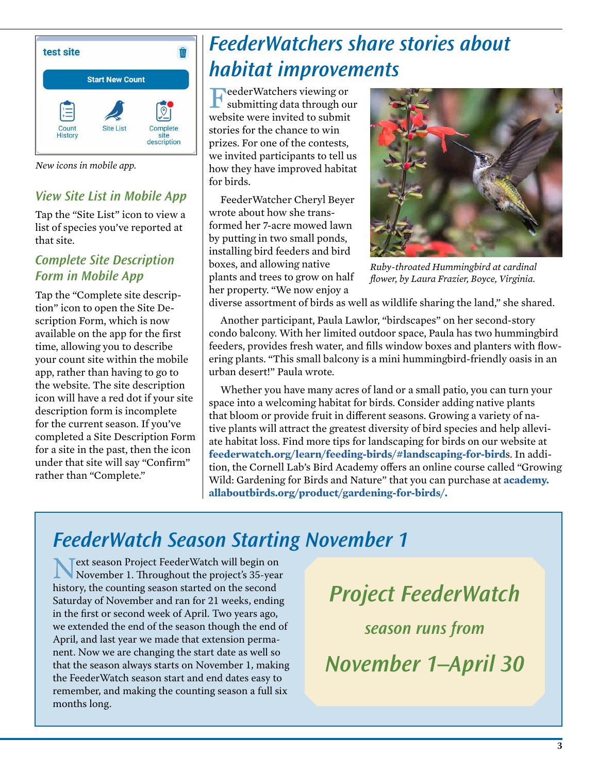

*New icons in mobile app.* 

#### *View Site List in Mobile App*

Tap the "Site List" icon to view a list of species you've reported at that site.

#### *Complete Site Description Form in Mobile App*

Tap the "Complete site description" icon to open the Site Description Form, which is now available on the app for the first time, allowing you to describe your count site within the mobile app, rather than having to go to the website. The site description icon will have a red dot if your site description form is incomplete for the current season. If you've completed a Site Description Form for a site in the past, then the icon under that site will say "Confirm" rather than "Complete."

# *FeederWatchers share stories about habitat improvements*

FeederWatchers viewing or submitting data through our website were invited to submit stories for the chance to win prizes. For one of the contests, we invited participants to tell us how they have improved habitat for birds.

FeederWatcher Cheryl Beyer wrote about how she transformed her 7-acre mowed lawn by putting in two small ponds, installing bird feeders and bird boxes, and allowing native plants and trees to grow on half her property. "We now enjoy a



*Ruby-throated Hummingbird at cardinal flower, by Laura Frazier, Boyce, Virginia.*

diverse assortment of birds as well as wildlife sharing the land," she shared.

Another participant, Paula Lawlor, "birdscapes" on her second-story condo balcony. With her limited outdoor space, Paula has two hummingbird feeders, provides fresh water, and fills window boxes and planters with flowering plants. "This small balcony is a mini hummingbird-friendly oasis in an urban desert!" Paula wrote.

Whether you have many acres of land or a small patio, you can turn your space into a welcoming habitat for birds. Consider adding native plants that bloom or provide fruit in different seasons. Growing a variety of native plants will attract the greatest diversity of bird species and help allev[i](https://feederwatch.org/learn/feeding-birds/#landscaping-for-birds)ate habitat loss. Find more tips for landscaping for birds on our website at **[feederwatch.org/learn/feeding-birds/#landscaping-for-bird](https://feederwatch.org/learn/feeding-birds/#landscaping-for-birds)**s. In addition, the Cornell Lab's Bird Academy offers an online course called "Growing Wild: Gardening for Birds and Nature" that you can purchase at **[academy.](http://academy.allaboutbirds.org/product/gardening-for-birds/) [allaboutbirds.org/product/gardening-for-birds/.](http://academy.allaboutbirds.org/product/gardening-for-birds/)**

## *FeederWatch Season Starting November 1*

**Next season Project FeederWatch will begin on**<br>November 1. Throughout the project's 35-year<br>history the counting season started on the second history, the counting season started on the second Saturday of November and ran for 21 weeks, ending in the first or second week of April. Two years ago, we extended the end of the season though the end of April, and last year we made that extension permanent. Now we are changing the start date as well so that the season always starts on November 1, making the FeederWatch season start and end dates easy to remember, and making the counting season a full six months long.

*Project FeederWatch season runs from November 1–April 30*